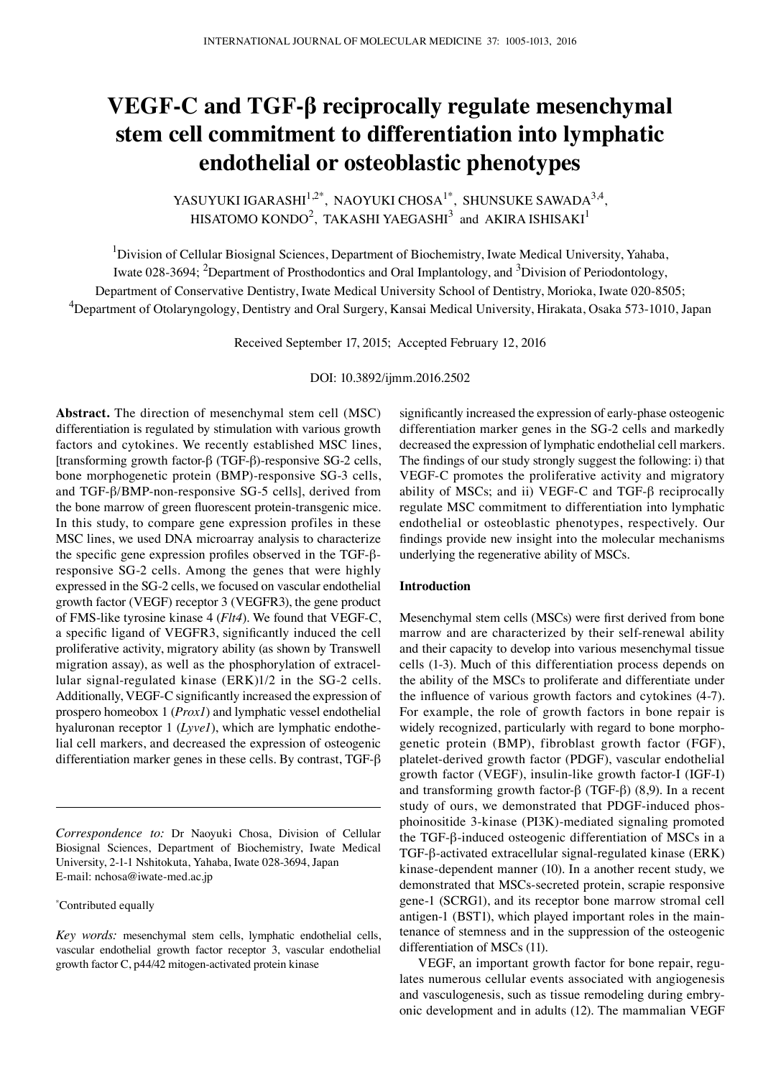# **VEGF-C and TGF-β reciprocally regulate mesenchymal stem cell commitment to differentiation into lymphatic endothelial or osteoblastic phenotypes**

YASUYUKI IGARASHI $^{1,2^*}$ , NAOYUKI CHOSA $^{1^*}$ , SHUNSUKE SAWADA $^{3,4}$ , HISATOMO KONDO $^2$ , TAKASHI YAEGASHI $^3$  and AKIRA ISHISAKI $^1$ 

<sup>1</sup>Division of Cellular Biosignal Sciences, Department of Biochemistry, Iwate Medical University, Yahaba, Iwate 028-3694; <sup>2</sup>Department of Prosthodontics and Oral Implantology, and <sup>3</sup>Division of Periodontology, Department of Conservative Dentistry, Iwate Medical University School of Dentistry, Morioka, Iwate 020-8505; 4 Department of Otolaryngology, Dentistry and Oral Surgery, Kansai Medical University, Hirakata, Osaka 573-1010, Japan

Received September 17, 2015; Accepted February 12, 2016

DOI: 10.3892/ijmm.2016.2502

**Abstract.** The direction of mesenchymal stem cell (MSC) differentiation is regulated by stimulation with various growth factors and cytokines. We recently established MSC lines, [transforming growth factor-β (TGF-β)-responsive SG-2 cells, bone morphogenetic protein (BMP)-responsive SG-3 cells, and TGF-β/BMP-non-responsive SG-5 cells], derived from the bone marrow of green fluorescent protein-transgenic mice. In this study, to compare gene expression profiles in these MSC lines, we used DNA microarray analysis to characterize the specific gene expression profiles observed in the TGF-βresponsive SG-2 cells. Among the genes that were highly expressed in the SG-2 cells, we focused on vascular endothelial growth factor (VEGF) receptor 3 (VEGFR3), the gene product of FMS-like tyrosine kinase 4 (*Flt4*). We found that VEGF-C, a specific ligand of VEGFR3, significantly induced the cell proliferative activity, migratory ability (as shown by Transwell migration assay), as well as the phosphorylation of extracellular signal-regulated kinase (ERK)1/2 in the SG-2 cells. Additionally, VEGF-C significantly increased the expression of prospero homeobox 1 (*Prox1*) and lymphatic vessel endothelial hyaluronan receptor 1 (*Lyve1*), which are lymphatic endothelial cell markers, and decreased the expression of osteogenic differentiation marker genes in these cells. By contrast, TGF-β

*Correspondence to:* Dr Naoyuki Chosa, Division of Cellular Biosignal Sciences, Department of Biochemistry, Iwate Medical University, 2-1-1 Nshitokuta, Yahaba, Iwate 028-3694, Japan E-mail: nchosa@iwate-med.ac.jp

\* Contributed equally

*Key words:* mesenchymal stem cells, lymphatic endothelial cells, vascular endothelial growth factor receptor 3, vascular endothelial growth factor C, p44/42 mitogen-activated protein kinase

significantly increased the expression of early-phase osteogenic differentiation marker genes in the SG-2 cells and markedly decreased the expression of lymphatic endothelial cell markers. The findings of our study strongly suggest the following: i) that VEGF-C promotes the proliferative activity and migratory ability of MSCs; and ii) VEGF-C and TGF-β reciprocally regulate MSC commitment to differentiation into lymphatic endothelial or osteoblastic phenotypes, respectively. Our findings provide new insight into the molecular mechanisms underlying the regenerative ability of MSCs.

## **Introduction**

Mesenchymal stem cells (MSCs) were first derived from bone marrow and are characterized by their self-renewal ability and their capacity to develop into various mesenchymal tissue cells (1-3). Much of this differentiation process depends on the ability of the MSCs to proliferate and differentiate under the influence of various growth factors and cytokines (4-7). For example, the role of growth factors in bone repair is widely recognized, particularly with regard to bone morphogenetic protein (BMP), fibroblast growth factor (FGF), platelet-derived growth factor (PDGF), vascular endothelial growth factor (VEGF), insulin-like growth factor-I (IGF-I) and transforming growth factor-β (TGF-β) (8,9). In a recent study of ours, we demonstrated that PDGF-induced phosphoinositide 3-kinase (PI3K)-mediated signaling promoted the TGF-β-induced osteogenic differentiation of MSCs in a TGF-β-activated extracellular signal-regulated kinase (ERK) kinase-dependent manner (10). In a another recent study, we demonstrated that MSCs-secreted protein, scrapie responsive gene-1 (SCRG1), and its receptor bone marrow stromal cell antigen-1 (BST1), which played important roles in the maintenance of stemness and in the suppression of the osteogenic differentiation of MSCs (11).

VEGF, an important growth factor for bone repair, regulates numerous cellular events associated with angiogenesis and vasculogenesis, such as tissue remodeling during embryonic development and in adults (12). The mammalian VEGF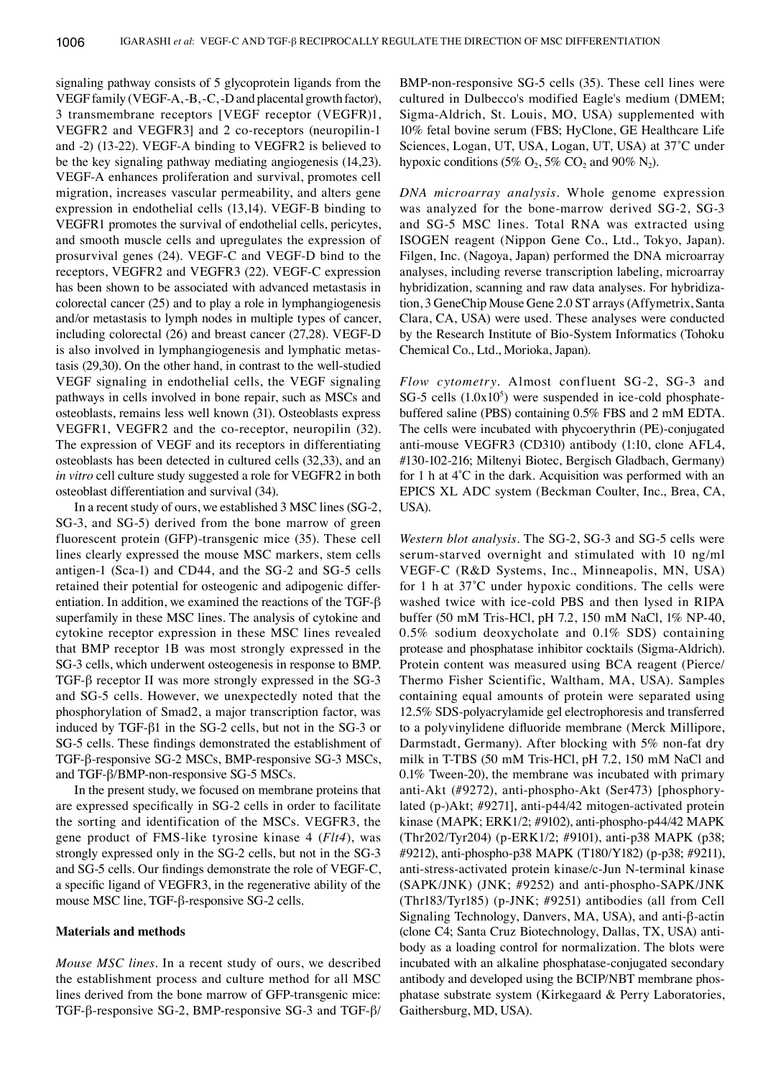signaling pathway consists of 5 glycoprotein ligands from the VEGF family (VEGF-A, -B, -C,-D and placental growth factor), 3 transmembrane receptors [VEGF receptor (VEGFR)1, VEGFR2 and VEGFR3] and 2 co-receptors (neuropilin-1 and -2) (13-22). VEGF-A binding to VEGFR2 is believed to be the key signaling pathway mediating angiogenesis (14,23). VEGF-A enhances proliferation and survival, promotes cell migration, increases vascular permeability, and alters gene expression in endothelial cells (13,14). VEGF-B binding to VEGFR1 promotes the survival of endothelial cells, pericytes, and smooth muscle cells and upregulates the expression of prosurvival genes (24). VEGF-C and VEGF-D bind to the receptors, VEGFR2 and VEGFR3 (22). VEGF-C expression has been shown to be associated with advanced metastasis in colorectal cancer (25) and to play a role in lymphangiogenesis and/or metastasis to lymph nodes in multiple types of cancer, including colorectal (26) and breast cancer (27,28). VEGF-D is also involved in lymphangiogenesis and lymphatic metastasis (29,30). On the other hand, in contrast to the well-studied VEGF signaling in endothelial cells, the VEGF signaling pathways in cells involved in bone repair, such as MSCs and osteoblasts, remains less well known (31). Osteoblasts express VEGFR1, VEGFR2 and the co-receptor, neuropilin (32). The expression of VEGF and its receptors in differentiating osteoblasts has been detected in cultured cells (32,33), and an *in vitro* cell culture study suggested a role for VEGFR2 in both osteoblast differentiation and survival (34).

In a recent study of ours, we established 3 MSC lines (SG-2, SG-3, and SG-5) derived from the bone marrow of green fluorescent protein (GFP)-transgenic mice (35). These cell lines clearly expressed the mouse MSC markers, stem cells antigen-1 (Sca-1) and CD44, and the SG-2 and SG-5 cells retained their potential for osteogenic and adipogenic differentiation. In addition, we examined the reactions of the TGF-β superfamily in these MSC lines. The analysis of cytokine and cytokine receptor expression in these MSC lines revealed that BMP receptor 1B was most strongly expressed in the SG-3 cells, which underwent osteogenesis in response to BMP. TGF-β receptor II was more strongly expressed in the SG-3 and SG-5 cells. However, we unexpectedly noted that the phosphorylation of Smad2, a major transcription factor, was induced by TGF-β1 in the SG-2 cells, but not in the SG-3 or SG-5 cells. These findings demonstrated the establishment of TGF-β-responsive SG-2 MSCs, BMP-responsive SG-3 MSCs, and TGF-β/BMP-non-responsive SG-5 MSCs.

In the present study, we focused on membrane proteins that are expressed specifically in SG‑2 cells in order to facilitate the sorting and identification of the MSCs. VEGFR3, the gene product of FMS-like tyrosine kinase 4 (*Flt4*), was strongly expressed only in the SG-2 cells, but not in the SG-3 and SG-5 cells. Our findings demonstrate the role of VEGF-C, a specific ligand of VEGFR3, in the regenerative ability of the mouse MSC line, TGF-β-responsive SG-2 cells.

## **Materials and methods**

*Mouse MSC lines.* In a recent study of ours, we described the establishment process and culture method for all MSC lines derived from the bone marrow of GFP-transgenic mice: TGF-β-responsive SG-2, BMP-responsive SG-3 and TGF-β/ BMP-non-responsive SG-5 cells (35). These cell lines were cultured in Dulbecco's modified Eagle's medium (DMEM; Sigma-Aldrich, St. Louis, MO, USA) supplemented with 10% fetal bovine serum (FBS; HyClone, GE Healthcare Life Sciences, Logan, UT, USA, Logan, UT, USA) at 37˚C under hypoxic conditions (5%  $O_2$ , 5%  $CO_2$  and 90%  $N_2$ ).

*DNA microarray analysis.* Whole genome expression was analyzed for the bone-marrow derived SG-2, SG-3 and SG-5 MSC lines. Total RNA was extracted using ISOGEN reagent (Nippon Gene Co., Ltd., Tokyo, Japan). Filgen, Inc. (Nagoya, Japan) performed the DNA microarray analyses, including reverse transcription labeling, microarray hybridization, scanning and raw data analyses. For hybridization, 3 GeneChip Mouse Gene 2.0 ST arrays (Affymetrix, Santa Clara, CA, USA) were used. These analyses were conducted by the Research Institute of Bio-System Informatics (Tohoku Chemical Co., Ltd., Morioka, Japan).

*Flow cytometry.* Almost confluent SG-2, SG-3 and  $SG-5$  cells  $(1.0x10<sup>5</sup>)$  were suspended in ice-cold phosphatebuffered saline (PBS) containing 0.5% FBS and 2 mM EDTA. The cells were incubated with phycoerythrin (PE)-conjugated anti-mouse VEGFR3 (CD310) antibody (1:10, clone AFL4, #130-102-216; Miltenyi Biotec, Bergisch Gladbach, Germany) for 1 h at 4˚C in the dark. Acquisition was performed with an EPICS XL ADC system (Beckman Coulter, Inc., Brea, CA, USA).

*Western blot analysis.* The SG-2, SG-3 and SG-5 cells were serum-starved overnight and stimulated with 10 ng/ml VEGF-C (R&D Systems, Inc., Minneapolis, MN, USA) for 1 h at 37˚C under hypoxic conditions. The cells were washed twice with ice-cold PBS and then lysed in RIPA buffer (50 mM Tris-HCl, pH 7.2, 150 mM NaCl, 1% NP-40, 0.5% sodium deoxycholate and 0.1% SDS) containing protease and phosphatase inhibitor cocktails (Sigma-Aldrich). Protein content was measured using BCA reagent (Pierce/ Thermo Fisher Scientific, Waltham, MA, USA). Samples containing equal amounts of protein were separated using 12.5% SDS-polyacrylamide gel electrophoresis and transferred to a polyvinylidene difluoride membrane (Merck Millipore, Darmstadt, Germany). After blocking with 5% non-fat dry milk in T-TBS (50 mM Tris-HCl, pH 7.2, 150 mM NaCl and 0.1% Tween-20), the membrane was incubated with primary anti-Akt (#9272), anti-phospho-Akt (Ser473) [phosphorylated (p-)Akt; #9271], anti-p44/42 mitogen-activated protein kinase (MAPK; ERK1/2; #9102), anti-phospho-p44/42 MAPK (Thr202/Tyr204) (p-ERK1/2; #9101), anti-p38 MAPK (p38; #9212), anti-phospho-p38 MAPK (T180/Y182) (p-p38; #9211), anti-stress-activated protein kinase/c-Jun N-terminal kinase (SAPK/JNK) (JNK; #9252) and anti-phospho-SAPK/JNK (Thr183/Tyr185) (p-JNK; #9251) antibodies (all from Cell Signaling Technology, Danvers, MA, USA), and anti-β-actin (clone C4; Santa Cruz Biotechnology, Dallas, TX, USA) antibody as a loading control for normalization. The blots were incubated with an alkaline phosphatase-conjugated secondary antibody and developed using the BCIP/NBT membrane phosphatase substrate system (Kirkegaard & Perry Laboratories, Gaithersburg, MD, USA).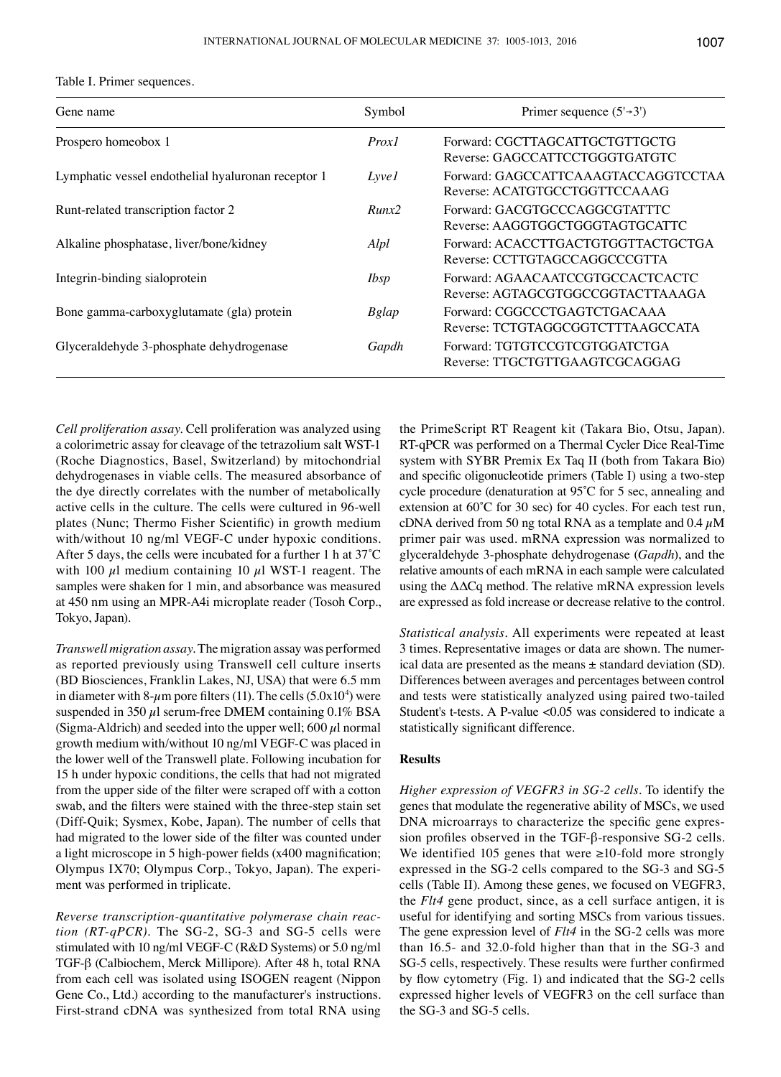| Table I. Primer sequences |  |
|---------------------------|--|
|---------------------------|--|

| Gene name                                          | Symbol       | Primer sequence $(5\rightarrow 3')$                                   |
|----------------------------------------------------|--------------|-----------------------------------------------------------------------|
| Prospero homeobox 1                                | Prox1        | Forward: CGCTTAGCATTGCTGTTGCTG<br>Reverse: GAGCCATTCCTGGGTGATGTC      |
| Lymphatic vessel endothelial hyaluronan receptor 1 | <i>Lyvel</i> | Forward: GAGCCATTCAAAGTACCAGGTCCTAA<br>Reverse: ACATGTGCCTGGTTCCAAAG  |
| Runt-related transcription factor 2                | Runx2        | Forward: GACGTGCCCAGGCGTATTTC<br>Reverse: AAGGTGGCTGGGTAGTGCATTC      |
| Alkaline phosphatase, liver/bone/kidney            | Alpl         | Forward: ACACCTTGACTGTGGTTACTGCTGA<br>Reverse: CCTTGTAGCCAGGCCCGTTA   |
| Integrin-binding sialoprotein                      | <i>Ibsp</i>  | Forward: AGAACAATCCGTGCCACTCACTC<br>Reverse: AGTAGCGTGGCCGGTACTTAAAGA |
| Bone gamma-carboxyglutamate (gla) protein          | <b>Bglap</b> | Forward: CGGCCCTGAGTCTGACAAA<br>Reverse: TCTGTAGGCGGTCTTTAAGCCATA     |
| Glyceraldehyde 3-phosphate dehydrogenase           | Gapdh        | Forward: TGTGTCCGTCGTGGATCTGA<br>Reverse: TTGCTGTTGAAGTCGCAGGAG       |

*Cell proliferation assay.* Cell proliferation was analyzed using a colorimetric assay for cleavage of the tetrazolium salt WST-1 (Roche Diagnostics, Basel, Switzerland) by mitochondrial dehydrogenases in viable cells. The measured absorbance of the dye directly correlates with the number of metabolically active cells in the culture. The cells were cultured in 96-well plates (Nunc; Thermo Fisher Scientific) in growth medium with/without 10 ng/ml VEGF-C under hypoxic conditions. After 5 days, the cells were incubated for a further 1 h at 37˚C with 100  $\mu$ l medium containing 10  $\mu$ l WST-1 reagent. The samples were shaken for 1 min, and absorbance was measured at 450 nm using an MPR-A4i microplate reader (Tosoh Corp., Tokyo, Japan).

*Transwell migration assay.* The migration assay was performed as reported previously using Transwell cell culture inserts (BD Biosciences, Franklin Lakes, NJ, USA) that were 6.5 mm in diameter with 8- $\mu$ m pore filters (11). The cells (5.0x10<sup>4</sup>) were suspended in 350  $\mu$ l serum-free DMEM containing 0.1% BSA (Sigma-Aldrich) and seeded into the upper well; 600  $\mu$ l normal growth medium with/without 10 ng/ml VEGF-C was placed in the lower well of the Transwell plate. Following incubation for 15 h under hypoxic conditions, the cells that had not migrated from the upper side of the filter were scraped off with a cotton swab, and the filters were stained with the three-step stain set (Diff-Quik; Sysmex, Kobe, Japan). The number of cells that had migrated to the lower side of the filter was counted under a light microscope in 5 high-power fields (x400 magnification; Olympus IX70; Olympus Corp., Tokyo, Japan). The experiment was performed in triplicate.

*Reverse transcription-quantitative polymerase chain reaction (RT-qPCR).* The SG-2, SG-3 and SG-5 cells were stimulated with 10 ng/ml VEGF-C (R&D Systems) or 5.0 ng/ml TGF-β (Calbiochem, Merck Millipore). After 48 h, total RNA from each cell was isolated using ISOGEN reagent (Nippon Gene Co., Ltd.) according to the manufacturer's instructions. First-strand cDNA was synthesized from total RNA using the PrimeScript RT Reagent kit (Takara Bio, Otsu, Japan). RT-qPCR was performed on a Thermal Cycler Dice Real-Time system with SYBR Premix Ex Taq II (both from Takara Bio) and specific oligonucleotide primers (Table I) using a two-step cycle procedure (denaturation at 95˚C for 5 sec, annealing and extension at 60˚C for 30 sec) for 40 cycles. For each test run, cDNA derived from 50 ng total RNA as a template and  $0.4 \mu$ M primer pair was used. mRNA expression was normalized to glyceraldehyde 3-phosphate dehydrogenase (*Gapdh*), and the relative amounts of each mRNA in each sample were calculated using the ΔΔCq method. The relative mRNA expression levels are expressed as fold increase or decrease relative to the control.

*Statistical analysis.* All experiments were repeated at least 3 times. Representative images or data are shown. The numerical data are presented as the means ± standard deviation (SD). Differences between averages and percentages between control and tests were statistically analyzed using paired two-tailed Student's t-tests. A P-value <0.05 was considered to indicate a statistically significant difference.

# **Results**

*Higher expression of VEGFR3 in SG-2 cells.* To identify the genes that modulate the regenerative ability of MSCs, we used DNA microarrays to characterize the specific gene expression profiles observed in the TGF-β-responsive SG-2 cells. We identified 105 genes that were ≥10-fold more strongly expressed in the SG-2 cells compared to the SG-3 and SG-5 cells (Table II). Among these genes, we focused on VEGFR3, the *Flt4* gene product, since, as a cell surface antigen, it is useful for identifying and sorting MSCs from various tissues. The gene expression level of *Flt4* in the SG-2 cells was more than 16.5- and 32.0-fold higher than that in the SG-3 and SG-5 cells, respectively. These results were further confirmed by flow cytometry (Fig. 1) and indicated that the SG‑2 cells expressed higher levels of VEGFR3 on the cell surface than the SG-3 and SG-5 cells.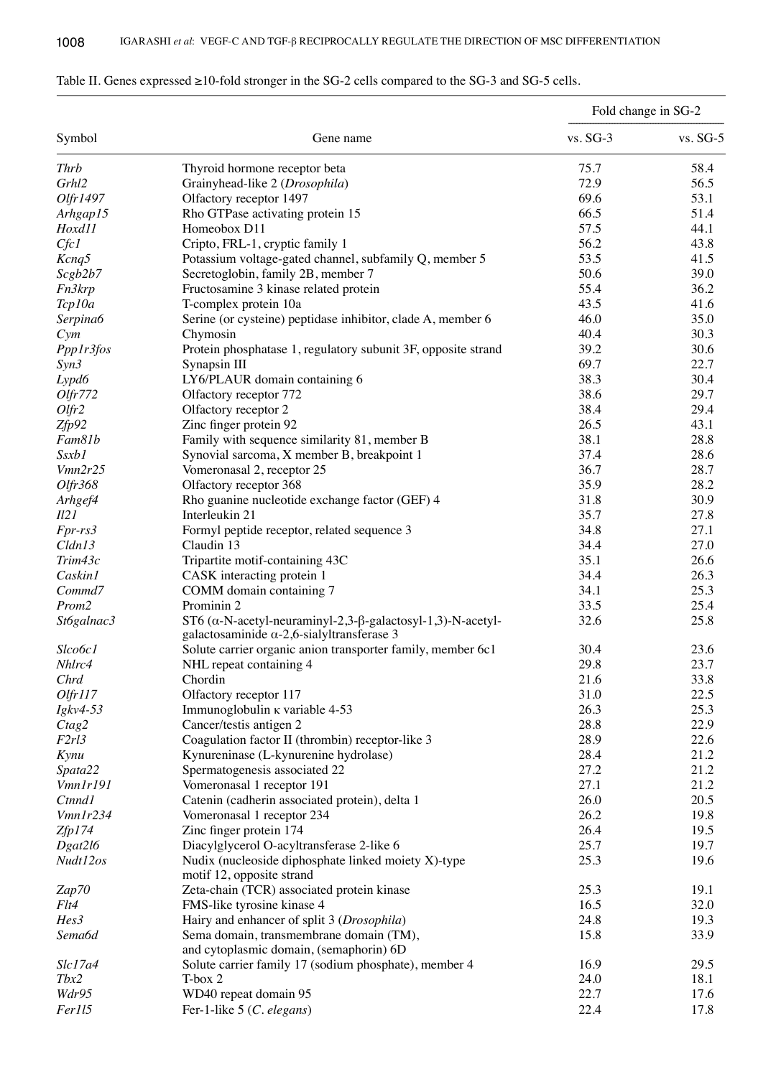| Symbol             |                                                                                                                                  | Fold change in SG-2 |            |
|--------------------|----------------------------------------------------------------------------------------------------------------------------------|---------------------|------------|
|                    | Gene name                                                                                                                        | vs. SG-3            | $vs. SG-5$ |
| <b>Thrb</b>        | Thyroid hormone receptor beta                                                                                                    | 75.7                | 58.4       |
| Grhl2              | Grainyhead-like 2 (Drosophila)                                                                                                   | 72.9                | 56.5       |
| Olfr1497           | Olfactory receptor 1497                                                                                                          | 69.6                | 53.1       |
| Arhgap15           | Rho GTPase activating protein 15                                                                                                 | 66.5                | 51.4       |
| Hoxd11             | Homeobox D11                                                                                                                     | 57.5                | 44.1       |
| Cfc1               | Cripto, FRL-1, cryptic family 1                                                                                                  | 56.2                | 43.8       |
| Kcnq5              | Potassium voltage-gated channel, subfamily Q, member 5                                                                           | 53.5                | 41.5       |
|                    |                                                                                                                                  | 50.6                | 39.0       |
| Scgb2b7            | Secretoglobin, family 2B, member 7                                                                                               |                     |            |
| Fn3krp             | Fructosamine 3 kinase related protein                                                                                            | 55.4                | 36.2       |
| Tcp10a             | T-complex protein 10a                                                                                                            | 43.5                | 41.6       |
| Serpina6           | Serine (or cysteine) peptidase inhibitor, clade A, member 6                                                                      | 46.0                | 35.0       |
| Cym                | Chymosin                                                                                                                         | 40.4                | 30.3       |
| Ppp1r3fos          | Protein phosphatase 1, regulatory subunit 3F, opposite strand                                                                    | 39.2                | 30.6       |
| Syn3               | Synapsin III                                                                                                                     | 69.7                | 22.7       |
| Lypd6              | LY6/PLAUR domain containing 6                                                                                                    | 38.3                | 30.4       |
| Olfr772            | Olfactory receptor 772                                                                                                           | 38.6                | 29.7       |
| $O$ <i>lfr</i> $2$ | Olfactory receptor 2                                                                                                             | 38.4                | 29.4       |
| Zfp92              | Zinc finger protein 92                                                                                                           | 26.5                | 43.1       |
| Fam81b             | Family with sequence similarity 81, member B                                                                                     | 38.1                | 28.8       |
| <i>Ssxb1</i>       | Synovial sarcoma, X member B, breakpoint 1                                                                                       | 37.4                | 28.6       |
| Vmn2r25            | Vomeronasal 2, receptor 25                                                                                                       | 36.7                | 28.7       |
| Olfr368            | Olfactory receptor 368                                                                                                           | 35.9                | 28.2       |
| Arhgef4            | Rho guanine nucleotide exchange factor (GEF) 4                                                                                   | 31.8                | 30.9       |
| II2I               | Interleukin 21                                                                                                                   | 35.7                | 27.8       |
| Fpr-rs3            | Formyl peptide receptor, related sequence 3                                                                                      | 34.8                | 27.1       |
| Cldn13             | Claudin 13                                                                                                                       | 34.4                | 27.0       |
| Trim43c            | Tripartite motif-containing 43C                                                                                                  | 35.1                | 26.6       |
| Caskin1            | CASK interacting protein 1                                                                                                       | 34.4                | 26.3       |
| Commd7             | COMM domain containing 7                                                                                                         | 34.1                | 25.3       |
|                    | Prominin 2                                                                                                                       | 33.5                | 25.4       |
| Prom2              |                                                                                                                                  |                     |            |
| St6galnac3         | ST6 ( $\alpha$ -N-acetyl-neuraminyl-2,3- $\beta$ -galactosyl-1,3)-N-acetyl-<br>galactosaminide $\alpha$ -2,6-sialyltransferase 3 | 32.6                | 25.8       |
| Slco6c1            | Solute carrier organic anion transporter family, member 6c1                                                                      | 30.4                | 23.6       |
| Nhlrc4             | NHL repeat containing 4                                                                                                          | 29.8                | 23.7       |
| Chrd               | Chordin                                                                                                                          | 21.6                | 33.8       |
| Olfrll7            | Olfactory receptor 117                                                                                                           | 31.0                | 22.5       |
| $Igkv4-53$         | Immunoglobulin K variable 4-53                                                                                                   | 26.3                | 25.3       |
| Ctag2              | Cancer/testis antigen 2                                                                                                          | 28.8                | 22.9       |
| F2rl3              | Coagulation factor II (thrombin) receptor-like 3                                                                                 | 28.9                | 22.6       |
| Kynu               | Kynureninase (L-kynurenine hydrolase)                                                                                            | 28.4                | 21.2       |
| Spata22            | Spermatogenesis associated 22                                                                                                    | 27.2                | 21.2       |
| Vmn1r191           | Vomeronasal 1 receptor 191                                                                                                       | 27.1                | 21.2       |
| <b>Ctnnd1</b>      | Catenin (cadherin associated protein), delta 1                                                                                   | 26.0                | 20.5       |
| Vmn1r234           | Vomeronasal 1 receptor 234                                                                                                       | 26.2                | 19.8       |
| Zfp174             | Zinc finger protein 174                                                                                                          | 26.4                | 19.5       |
| Dgat2l6            | Diacylglycerol O-acyltransferase 2-like 6                                                                                        | 25.7                | 19.7       |
| Nudt12os           | Nudix (nucleoside diphosphate linked moiety X)-type                                                                              | 25.3                | 19.6       |
|                    | motif 12, opposite strand                                                                                                        |                     |            |
| Zap70              | Zeta-chain (TCR) associated protein kinase                                                                                       | 25.3                | 19.1       |
| Flt4               | FMS-like tyrosine kinase 4                                                                                                       | 16.5                | 32.0       |
| Hes3               | Hairy and enhancer of split 3 (Drosophila)                                                                                       | 24.8                | 19.3       |
| Sema6d             | Sema domain, transmembrane domain (TM),<br>and cytoplasmic domain, (semaphorin) 6D                                               | 15.8                | 33.9       |
| Slc17a4            | Solute carrier family 17 (sodium phosphate), member 4                                                                            | 16.9                | 29.5       |
| Tbx2               | T-box 2                                                                                                                          | 24.0                | 18.1       |
| Wdr95              | WD40 repeat domain 95                                                                                                            | 22.7                | 17.6       |
| Fer115             | Fer-1-like 5 (C. elegans)                                                                                                        | 22.4                | 17.8       |
|                    |                                                                                                                                  |                     |            |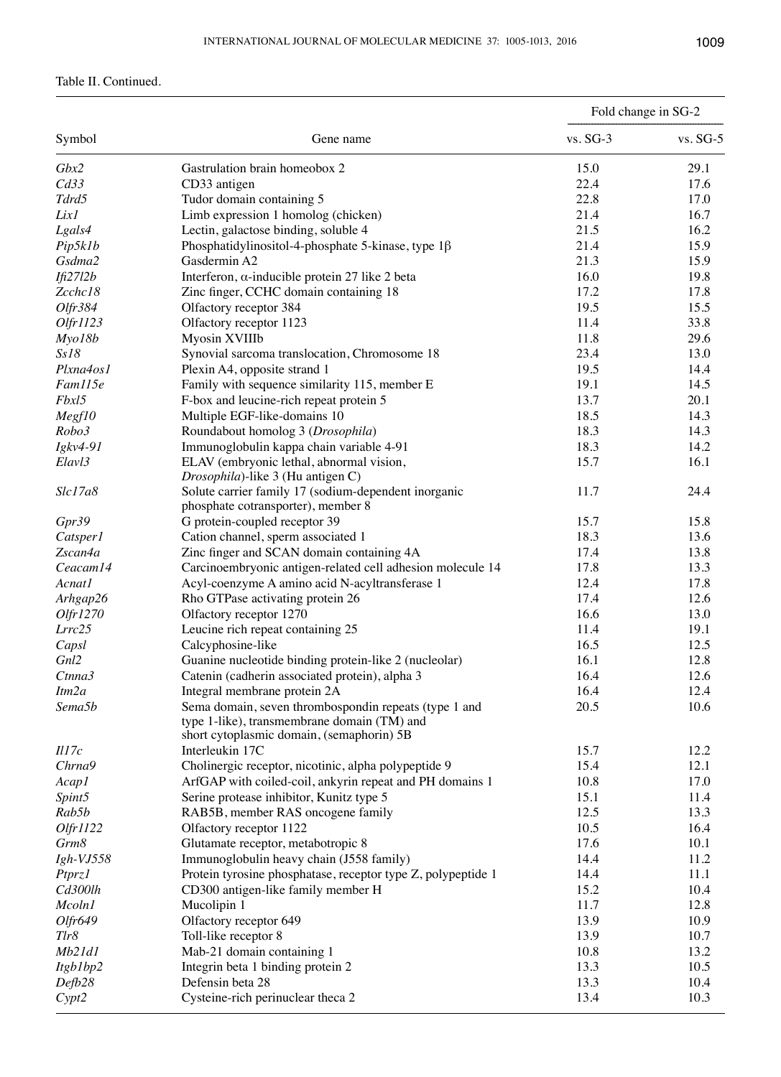# Table II. Continued.

| Symbol             | Gene name                                                                                                                                         | Fold change in SG-2 |            |
|--------------------|---------------------------------------------------------------------------------------------------------------------------------------------------|---------------------|------------|
|                    |                                                                                                                                                   | $vs. SG-3$          | $vs. SG-5$ |
| Gbx2               | Gastrulation brain homeobox 2                                                                                                                     | 15.0                | 29.1       |
| Cd33               | CD33 antigen                                                                                                                                      | 22.4                | 17.6       |
| Tdrd5              | Tudor domain containing 5                                                                                                                         | 22.8                | 17.0       |
| Lix1               | Limb expression 1 homolog (chicken)                                                                                                               | 21.4                | 16.7       |
| Lgals4             | Lectin, galactose binding, soluble 4                                                                                                              | 21.5                | 16.2       |
| Pip5k1b            | Phosphatidylinositol-4-phosphate 5-kinase, type $1\beta$                                                                                          | 21.4                | 15.9       |
| Gsdma2             | Gasdermin A2                                                                                                                                      | 21.3                | 15.9       |
| If 2712b           | Interferon, $\alpha$ -inducible protein 27 like 2 beta                                                                                            | 16.0                | 19.8       |
| Zcchc18            | Zinc finger, CCHC domain containing 18                                                                                                            | 17.2                | 17.8       |
| Olfr384            | Olfactory receptor 384                                                                                                                            | 19.5                | 15.5       |
| Olfr1123           | Olfactory receptor 1123                                                                                                                           | 11.4                | 33.8       |
| Myo18b             | Myosin XVIIIb                                                                                                                                     | 11.8                | 29.6       |
| Ss18               | Synovial sarcoma translocation, Chromosome 18                                                                                                     | 23.4                | 13.0       |
| Plxna4os1          | Plexin A4, opposite strand 1                                                                                                                      | 19.5                | 14.4       |
| Fam115e            | Family with sequence similarity 115, member E                                                                                                     | 19.1                | 14.5       |
| Fbxl5              | F-box and leucine-rich repeat protein 5                                                                                                           | 13.7                | 20.1       |
| Megf10             | Multiple EGF-like-domains 10                                                                                                                      | 18.5                | 14.3       |
| Robo3              | Roundabout homolog 3 (Drosophila)                                                                                                                 | 18.3                | 14.3       |
| Igkv4-91           | Immunoglobulin kappa chain variable 4-91                                                                                                          | 18.3                | 14.2       |
| Elavl3             | ELAV (embryonic lethal, abnormal vision,<br>Drosophila)-like 3 (Hu antigen C)                                                                     | 15.7                | 16.1       |
| Slc17a8            | Solute carrier family 17 (sodium-dependent inorganic<br>phosphate cotransporter), member 8                                                        | 11.7                | 24.4       |
| Gpr39              | G protein-coupled receptor 39                                                                                                                     | 15.7                | 15.8       |
| Catsper1           | Cation channel, sperm associated 1                                                                                                                | 18.3                | 13.6       |
| Zscan4a            | Zinc finger and SCAN domain containing 4A                                                                                                         | 17.4                | 13.8       |
| Ceacam14           | Carcinoembryonic antigen-related cell adhesion molecule 14                                                                                        | 17.8                | 13.3       |
| Acnat1             | Acyl-coenzyme A amino acid N-acyltransferase 1                                                                                                    | 12.4                | 17.8       |
| Arhgap26           | Rho GTPase activating protein 26                                                                                                                  | 17.4                | 12.6       |
| Olfr1270           | Olfactory receptor 1270                                                                                                                           | 16.6                | 13.0       |
| Lrrc25             | Leucine rich repeat containing 25                                                                                                                 | 11.4                | 19.1       |
| Capsl              | Calcyphosine-like                                                                                                                                 | 16.5                | 12.5       |
| Gnl2               | Guanine nucleotide binding protein-like 2 (nucleolar)                                                                                             | 16.1                | 12.8       |
| Ctnna3             | Catenin (cadherin associated protein), alpha 3                                                                                                    | 16.4                | 12.6       |
| Itm2a              | Integral membrane protein 2A                                                                                                                      | 16.4                | 12.4       |
| Sema5b             | Sema domain, seven thrombospondin repeats (type 1 and<br>type 1-like), transmembrane domain (TM) and<br>short cytoplasmic domain, (semaphorin) 5B | 20.5                | 10.6       |
| III7c              | Interleukin 17C                                                                                                                                   | 15.7                | 12.2       |
| Chrna9             | Cholinergic receptor, nicotinic, alpha polypeptide 9                                                                                              | 15.4                | 12.1       |
| Acap1              | ArfGAP with coiled-coil, ankyrin repeat and PH domains 1                                                                                          | 10.8                | 17.0       |
| Spint5             | Serine protease inhibitor, Kunitz type 5                                                                                                          | 15.1                | 11.4       |
| Rab5b              | RAB5B, member RAS oncogene family                                                                                                                 | 12.5                | 13.3       |
| Olfr1122           | Olfactory receptor 1122                                                                                                                           | 10.5                | 16.4       |
| Grm8               | Glutamate receptor, metabotropic 8                                                                                                                | 17.6                | 10.1       |
| $Igh-VJ558$        | Immunoglobulin heavy chain (J558 family)                                                                                                          | 14.4                | 11.2       |
| Ptprz <sub>1</sub> | Protein tyrosine phosphatase, receptor type Z, polypeptide 1                                                                                      | 14.4                | 11.1       |
| Cd300lh            | CD300 antigen-like family member H                                                                                                                | 15.2                | 10.4       |
| Mcoln1             | Mucolipin 1                                                                                                                                       | 11.7                | 12.8       |
| Olfr649            | Olfactory receptor 649                                                                                                                            | 13.9                | 10.9       |
| Tlr8               | Toll-like receptor 8                                                                                                                              | 13.9                | 10.7       |
| Mb21d1             | Mab-21 domain containing 1                                                                                                                        | 10.8                | 13.2       |
| Itgb1bp2           | Integrin beta 1 binding protein 2                                                                                                                 | 13.3                | 10.5       |
| Defb28             | Defensin beta 28                                                                                                                                  | 13.3                | 10.4       |
| Cypt2              | Cysteine-rich perinuclear theca 2                                                                                                                 | 13.4                | 10.3       |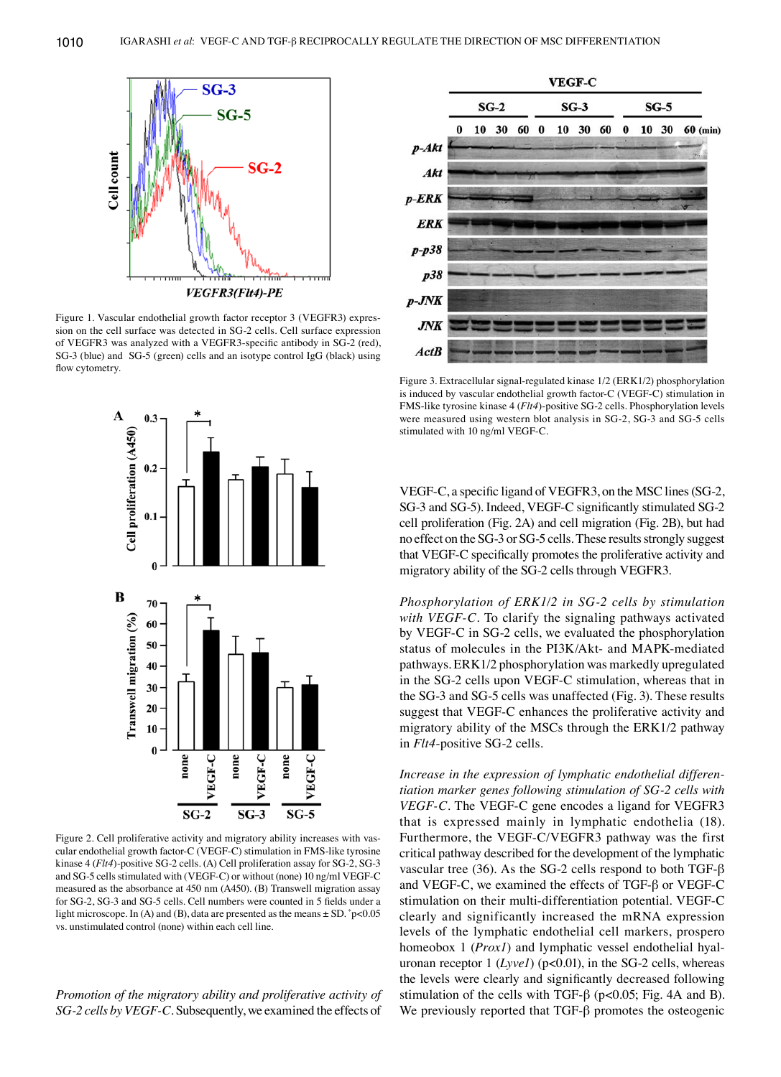

Figure 1. Vascular endothelial growth factor receptor 3 (VEGFR3) expression on the cell surface was detected in SG-2 cells. Cell surface expression of VEGFR3 was analyzed with a VEGFR3-specific antibody in SG‑2 (red), SG-3 (blue) and SG-5 (green) cells and an isotype control IgG (black) using flow cytometry.



Figure 2. Cell proliferative activity and migratory ability increases with vascular endothelial growth factor-C (VEGF-C) stimulation in FMS-like tyrosine kinase 4 (*Flt4*)-positive SG-2 cells. (A) Cell proliferation assay for SG-2, SG-3 and SG-5 cells stimulated with (VEGF-C) or without (none) 10 ng/ml VEGF-C measured as the absorbance at 450 nm (A450). (B) Transwell migration assay for SG‑2, SG‑3 and SG‑5 cells. Cell numbers were counted in 5 fields under a light microscope. In (A) and (B), data are presented as the means  $\pm$  SD.  $\degree$ p<0.05 vs. unstimulated control (none) within each cell line.

*Promotion of the migratory ability and proliferative activity of SG-2 cells by VEGF-C.* Subsequently, we examined the effects of



Figure 3. Extracellular signal-regulated kinase 1/2 (ERK1/2) phosphorylation is induced by vascular endothelial growth factor-C (VEGF-C) stimulation in FMS-like tyrosine kinase 4 (*Flt4*)-positive SG-2 cells. Phosphorylation levels were measured using western blot analysis in SG-2, SG-3 and SG-5 cells stimulated with 10 ng/ml VEGF-C.

VEGF-C, a specific ligand of VEGFR3, on the MSC lines (SG-2, SG‑3 and SG‑5). Indeed, VEGF-C significantly stimulated SG‑2 cell proliferation (Fig. 2A) and cell migration (Fig. 2B), but had no effect on the SG-3 or SG-5 cells. These results strongly suggest that VEGF-C specifically promotes the proliferative activity and migratory ability of the SG-2 cells through VEGFR3.

*Phosphorylation of ERK1/2 in SG-2 cells by stimulation with VEGF-C.* To clarify the signaling pathways activated by VEGF-C in SG-2 cells, we evaluated the phosphorylation status of molecules in the PI3K/Akt- and MAPK-mediated pathways. ERK1/2 phosphorylation was markedly upregulated in the SG-2 cells upon VEGF-C stimulation, whereas that in the SG-3 and SG-5 cells was unaffected (Fig. 3). These results suggest that VEGF-C enhances the proliferative activity and migratory ability of the MSCs through the ERK1/2 pathway in *Flt4*-positive SG-2 cells.

*Increase in the expression of lymphatic endothelial differentiation marker genes following stimulation of SG-2 cells with VEGF-C.* The VEGF-C gene encodes a ligand for VEGFR3 that is expressed mainly in lymphatic endothelia (18). Furthermore, the VEGF-C/VEGFR3 pathway was the first critical pathway described for the development of the lymphatic vascular tree (36). As the SG-2 cells respond to both TGF- $\beta$ and VEGF-C, we examined the effects of TGF-β or VEGF-C stimulation on their multi-differentiation potential. VEGF-C clearly and significantly increased the mRNA expression levels of the lymphatic endothelial cell markers, prospero homeobox 1 (*Prox1*) and lymphatic vessel endothelial hyaluronan receptor 1 (*Lyvel*) (p<0.01), in the SG-2 cells, whereas the levels were clearly and significantly decreased following stimulation of the cells with TGF- $\beta$  (p<0.05; Fig. 4A and B). We previously reported that TGF-β promotes the osteogenic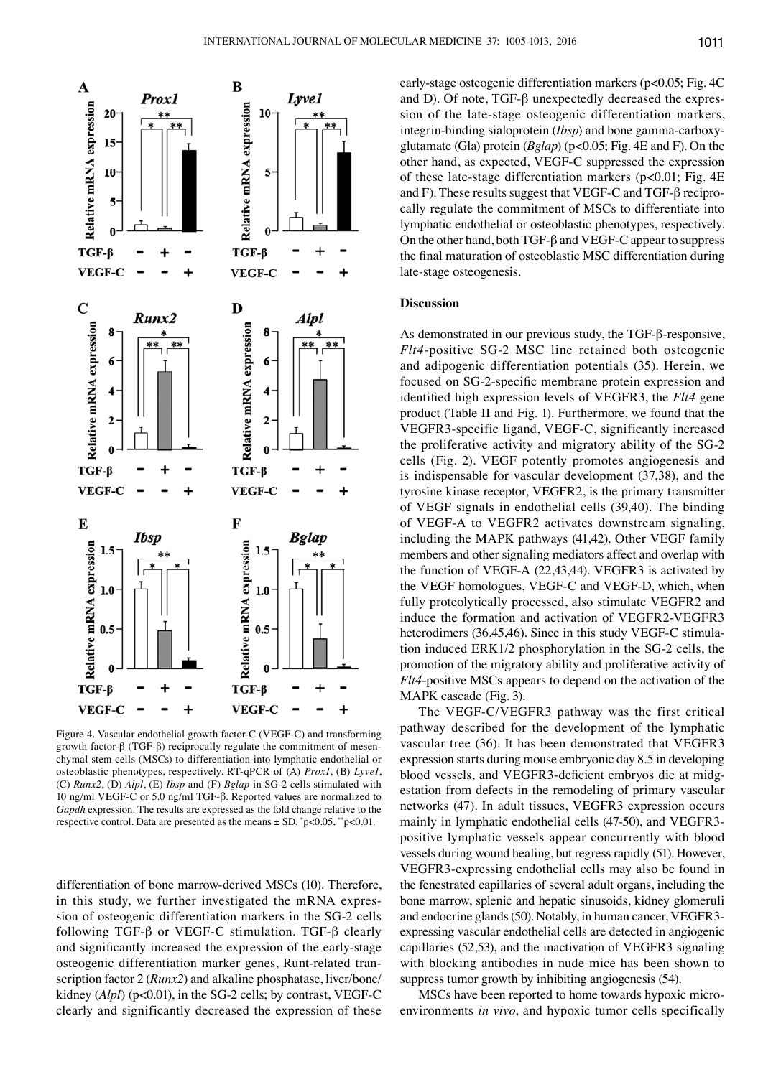

Figure 4. Vascular endothelial growth factor-C (VEGF-C) and transforming growth factor-β (TGF-β) reciprocally regulate the commitment of mesenchymal stem cells (MSCs) to differentiation into lymphatic endothelial or osteoblastic phenotypes, respectively. RT-qPCR of (A) *Prox1*, (B) *Lyve1*, (C) *Runx2*, (D) *Alpl*, (E) *Ibsp* and (F) *Bglap* in SG-2 cells stimulated with 10 ng/ml VEGF-C or 5.0 ng/ml TGF-β. Reported values are normalized to *Gapdh* expression. The results are expressed as the fold change relative to the respective control. Data are presented as the means ± SD. \* p<0.05, \*\*p<0.01.

differentiation of bone marrow-derived MSCs (10). Therefore, in this study, we further investigated the mRNA expression of osteogenic differentiation markers in the SG-2 cells following TGF-β or VEGF-C stimulation. TGF-β clearly and significantly increased the expression of the early-stage osteogenic differentiation marker genes, Runt-related transcription factor 2 (*Runx2*) and alkaline phosphatase, liver/bone/ kidney (*Alpl*) (p<0.01), in the SG-2 cells; by contrast, VEGF-C clearly and significantly decreased the expression of these early-stage osteogenic differentiation markers (p<0.05; Fig. 4C and D). Of note, TGF-β unexpectedly decreased the expression of the late-stage osteogenic differentiation markers, integrin-binding sialoprotein (*Ibsp*) and bone gamma-carboxyglutamate (Gla) protein (*Bglap*) (p<0.05; Fig. 4E and F). On the other hand, as expected, VEGF-C suppressed the expression of these late-stage differentiation markers (p<0.01; Fig. 4E and F). These results suggest that VEGF-C and TGF-β reciprocally regulate the commitment of MSCs to differentiate into lymphatic endothelial or osteoblastic phenotypes, respectively. On the other hand, both TGF-β and VEGF-C appear to suppress the final maturation of osteoblastic MSC differentiation during late-stage osteogenesis.

# **Discussion**

As demonstrated in our previous study, the TGF-β-responsive, *Flt4*-positive SG-2 MSC line retained both osteogenic and adipogenic differentiation potentials (35). Herein, we focused on SG‑2-specific membrane protein expression and identified high expression levels of VEGFR3, the *Flt4* gene product (Table II and Fig. 1). Furthermore, we found that the VEGFR3-specific ligand, VEGF-C, significantly increased the proliferative activity and migratory ability of the SG-2 cells (Fig. 2). VEGF potently promotes angiogenesis and is indispensable for vascular development (37,38), and the tyrosine kinase receptor, VEGFR2, is the primary transmitter of VEGF signals in endothelial cells (39,40). The binding of VEGF-A to VEGFR2 activates downstream signaling, including the MAPK pathways (41,42). Other VEGF family members and other signaling mediators affect and overlap with the function of VEGF-A (22,43,44). VEGFR3 is activated by the VEGF homologues, VEGF-C and VEGF-D, which, when fully proteolytically processed, also stimulate VEGFR2 and induce the formation and activation of VEGFR2-VEGFR3 heterodimers (36,45,46). Since in this study VEGF-C stimulation induced ERK1/2 phosphorylation in the SG-2 cells, the promotion of the migratory ability and proliferative activity of *Flt4*-positive MSCs appears to depend on the activation of the MAPK cascade (Fig. 3).

The VEGF-C/VEGFR3 pathway was the first critical pathway described for the development of the lymphatic vascular tree (36). It has been demonstrated that VEGFR3 expression starts during mouse embryonic day 8.5 in developing blood vessels, and VEGFR3‑deficient embryos die at midgestation from defects in the remodeling of primary vascular networks (47). In adult tissues, VEGFR3 expression occurs mainly in lymphatic endothelial cells (47-50), and VEGFR3 positive lymphatic vessels appear concurrently with blood vessels during wound healing, but regress rapidly (51). However, VEGFR3-expressing endothelial cells may also be found in the fenestrated capillaries of several adult organs, including the bone marrow, splenic and hepatic sinusoids, kidney glomeruli and endocrine glands(50). Notably, in human cancer, VEGFR3 expressing vascular endothelial cells are detected in angiogenic capillaries (52,53), and the inactivation of VEGFR3 signaling with blocking antibodies in nude mice has been shown to suppress tumor growth by inhibiting angiogenesis (54).

MSCs have been reported to home towards hypoxic microenvironments *in vivo*, and hypoxic tumor cells specifically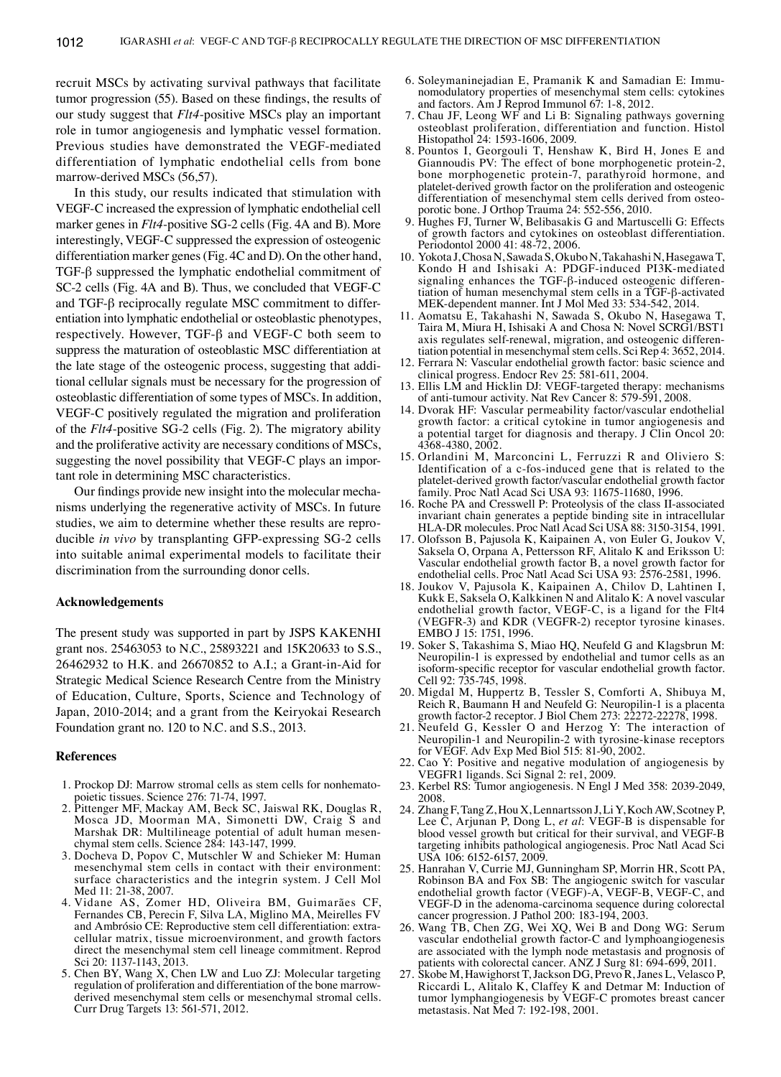recruit MSCs by activating survival pathways that facilitate tumor progression (55). Based on these findings, the results of our study suggest that *Flt4*-positive MSCs play an important role in tumor angiogenesis and lymphatic vessel formation. Previous studies have demonstrated the VEGF-mediated differentiation of lymphatic endothelial cells from bone marrow-derived MSCs (56,57).

In this study, our results indicated that stimulation with VEGF-C increased the expression of lymphatic endothelial cell marker genes in *Flt4*-positive SG-2 cells (Fig. 4A and B). More interestingly, VEGF-C suppressed the expression of osteogenic differentiation marker genes(Fig. 4C and D). On the other hand, TGF-β suppressed the lymphatic endothelial commitment of SC-2 cells (Fig. 4A and B). Thus, we concluded that VEGF-C and TGF-β reciprocally regulate MSC commitment to differentiation into lymphatic endothelial or osteoblastic phenotypes, respectively. However, TGF-β and VEGF-C both seem to suppress the maturation of osteoblastic MSC differentiation at the late stage of the osteogenic process, suggesting that additional cellular signals must be necessary for the progression of osteoblastic differentiation of some types of MSCs. In addition, VEGF-C positively regulated the migration and proliferation of the *Flt4*-positive SG-2 cells (Fig. 2). The migratory ability and the proliferative activity are necessary conditions of MSCs, suggesting the novel possibility that VEGF-C plays an important role in determining MSC characteristics.

Our findings provide new insight into the molecular mechanisms underlying the regenerative activity of MSCs. In future studies, we aim to determine whether these results are reproducible *in vivo* by transplanting GFP-expressing SG-2 cells into suitable animal experimental models to facilitate their discrimination from the surrounding donor cells.

## **Acknowledgements**

The present study was supported in part by JSPS KAKENHI grant nos. 25463053 to N.C., 25893221 and 15K20633 to S.S., 26462932 to H.K. and 26670852 to A.I.; a Grant-in-Aid for Strategic Medical Science Research Centre from the Ministry of Education, Culture, Sports, Science and Technology of Japan, 2010-2014; and a grant from the Keiryokai Research Foundation grant no. 120 to N.C. and S.S., 2013.

#### **References**

- 1. Prockop DJ: Marrow stromal cells as stem cells for nonhemato- poietic tissues. Science 276: 71-74, 1997.
- 2. Pittenger MF, Mackay AM, Beck SC, Jaiswal RK, Douglas R, Mosca JD, Moorman MA, Simonetti DW, Craig S and<br>Marshak DR: Multilineage potential of adult human mesenchymal stem cells. Science 284: 143-147, 1999.
- 3. Docheva D, Popov C, Mutschler W and Schieker M: Human mesenchymal stem cells in contact with their environment: surface characteristics and the integrin system. J Cell Mol Med 11: 21-38, 2007.
- 4. Vidane AS, Zomer HD, Oliveira BM, Guimarães CF, Fernandes CB, Perecin F, Silva LA, Miglino MA, Meirelles FV and Ambrósio CE: Reproductive stem cell differentiation: extracellular matrix, tissue microenvironment, and growth factors direct the mesenchymal stem cell lineage commitment. Reprod Sci 20: 1137-1143, 2013.
- 5. Chen BY, Wang X, Chen LW and Luo ZJ: Molecular targeting regulation of proliferation and differentiation of the bone marrowderived mesenchymal stem cells or mesenchymal stromal cells. Curr Drug Targets 13: 561-571, 2012.
- 6. Soleymaninejadian E, Pramanik K and Samadian E: Immu- nomodulatory properties of mesenchymal stem cells: cytokines and factors. Am J Reprod Immunol 67: 1-8, 2012.
- 7. Chau JF, Leong WF and Li B: Signaling pathways governing osteoblast proliferation, differentiation and function. Histol Histopathol 24: 1593-1606, 2009.
- 8. Pountos I, Georgouli T, Henshaw K, Bird H, Jones E and Giannoudis PV: The effect of bone morphogenetic protein-2, bone morphogenetic protein-7, parathyroid hormone, and platelet-derived growth factor on the proliferation and osteogenic porotic bone. J Orthop Trauma 24: 552-556, 2010.
- 9. Hughes FJ, Turner W, Belibasakis G and Martuscelli G: Effects of growth factors and cytokines on osteoblast differentiation. Periodontol 2000 41: 48-72, 2006.
- 10. Yokota J, Chosa N, Sawada S, Okubo N, Takahashi N, HasegawaT, Kondo H and Ishisaki A: PDGF-induced PI3K-mediated signaling enhances the TGF-β-induced osteogenic differen- tiation of human mesenchymal stem cells in a TGF-β-activated MEK-dependent manner. Int J Mol Med 33: 534-542, 2014.
- 11. Aomatsu E, Takahashi N, Sawada S, Okubo N, Hasegawa T, Taira M, Miura H, Ishisaki A and Chosa N: Novel SCRG1/BST1 tiation potential in mesenchymal stem cells. Sci Rep 4: 3652, 2014.
- 12. Ferrara N: Vascular endothelial growth factor: basic science and clinical progress. Endocr Rev 25: 581-611, 2004.
- 13. Ellis LM and Hicklin DJ: VEGF-targeted therapy: mechanisms of anti-tumour activity. Nat Rev Cancer 8: 579-591, 2008.
- 14. Dvorak HF: Vascular permeability factor/vascular endothelial growth factor: a critical cytokine in tumor angiogenesis and a potential target for diagnosis and therapy. J Clin Oncol 20: 4368-4380, 2002.
- 15. Orlandini M, Marconcini L, Ferruzzi R and Oliviero S: Identification of a c-fos-induced gene that is related to the platelet-derived growth factor/vascular endothelial growth factor family. Proc Natl Acad Sci USA 93: 11675-11680, 1996.
- 16. Roche PA and Cresswell P: Proteolysis of the class II-associated invariant chain generates a peptide binding site in intracellular HLA-DR molecules. Proc Natl Acad Sci USA 88: 3150-3154, 1991.
- 17. Olofsson B, Pajusola K, Kaipainen A, von Euler G, Joukov V, Saksela O, Orpana A, Pettersson RF, Alitalo K and Eriksson U: Vascular endothelial growth factor B, a novel growth factor for endothelial cells. Proc Natl Acad Sci USA 93: 2576-2581, 1996.
- 18. Joukov V, Pajusola K, Kaipainen A, Chilov D, Lahtinen I, Kukk E, Saksela O, Kalkkinen N and Alitalo K: A novel vascular endothelial growth factor, VEGF-C, is a ligand for the Flt4 (VEGFR-3) and KDR (VEGFR-2) receptor tyrosine kinases. EMBO J 15: 1751, 1996.
- 19. Soker S, Takashima S, Miao HQ, Neufeld G and Klagsbrun M: Neuropilin-1 is expressed by endothelial and tumor cells as an isoform-specific receptor for vascular endothelial growth factor. Cell 92: 735-745, 1998.
- 20. Migdal M, Huppertz B, Tessler S, Comforti A, Shibuya M, Reich R, Baumann H and Neufeld G: Neuropilin-1 is a placenta growth factor-2 receptor. J Biol Chem 273: 22272-22278, 1998.
- 21. Neufeld G, Kessler O and Herzog Y: The interaction of Neuropilin-1 and Neuropilin-2 with tyrosine-kinase receptors for VEGF. Adv Exp Med Biol 515: 81-90, 2002.
- 22. Cao Y: Positive and negative modulation of angiogenesis by VEGFR1 ligands. Sci Signal 2: re1, 2009.
- 23. Kerbel RS: Tumor angiogenesis. N Engl J Med 358: 2039-2049, 2008.
- 24. Zhang F, Tang Z, Hou X, Lennartsson J, Li Y, Koch AW, Scotney P, Lee C, Arjunan P, Dong L, *et al*: VEGF-B is dispensable for blood vessel growth but critical for their survival, and VEGF-B targeting inhibits pathological angiogenesis. Proc Natl Acad Sci USA 106: 6152-6157, 2009.
- 25. Hanrahan V, Currie MJ, Gunningham SP, Morrin HR, Scott PA, Robinson BA and Fox SB: The angiogenic switch for vascular endothelial growth factor (VEGF)-A, VEGF-B, VEGF-C, and VEGF-D in the adenoma-carcinoma sequence during colorectal cancer progression. J Pathol 200: 183-194, 2003.
- 26. Wang TB, Chen ZG, Wei XQ, Wei B and Dong WG: Serum vascular endothelial growth factor-C and lymphoangiogenesis are associated with the lymph node metastasis and prognosis of patients with colorectal cancer. ANZ J Surg 81: 694-699, 2011.
- 27. Skobe M, Hawighorst T, Jackson DG, Prevo R, Janes L, Velasco P, Riccardi L, Alitalo K, Claffey K and Detmar M: Induction of tumor lymphangiogenesis by VEGF-C promotes breast cancer metastasis. Nat Med 7: 192-198, 2001.